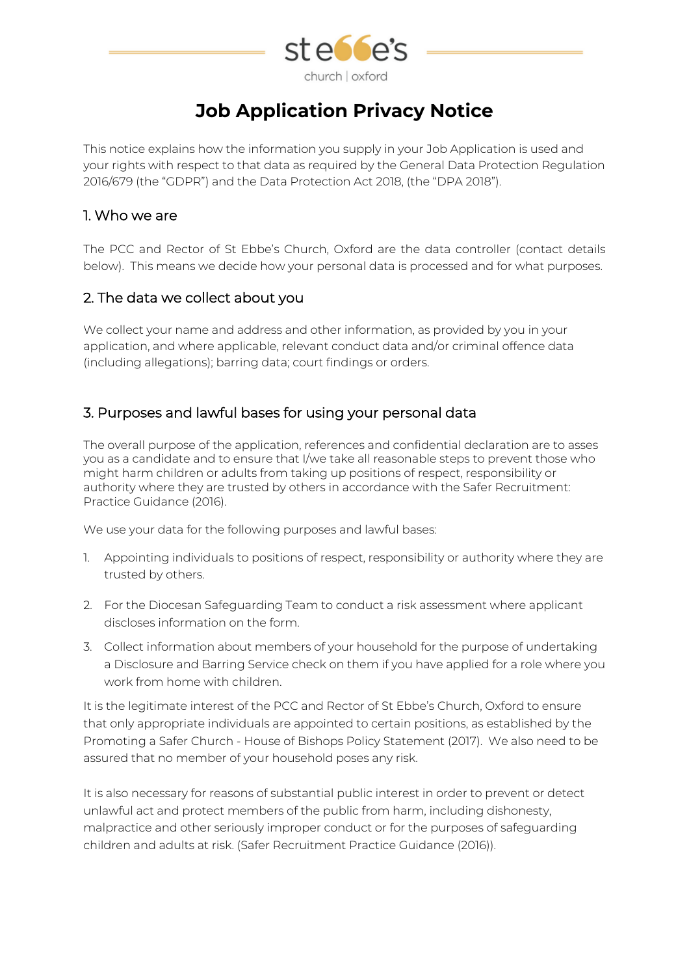

# **Job Application Privacy Notice**

This notice explains how the information you supply in your Job Application is used and your rights with respect to that data as required by the General Data Protection Regulation 2016/679 (the "GDPR") and the Data Protection Act 2018, (the "DPA 2018").

#### 1. Who we are

The PCC and Rector of St Ebbe's Church, Oxford are the data controller (contact details below). This means we decide how your personal data is processed and for what purposes.

#### 2. The data we collect about you

We collect your name and address and other information, as provided by you in your application, and where applicable, relevant conduct data and/or criminal offence data (including allegations); barring data; court findings or orders.

#### 3. Purposes and lawful bases for using your personal data

The overall purpose of the application, references and confidential declaration are to asses you as a candidate and to ensure that I/we take all reasonable steps to prevent those who might harm children or adults from taking up positions of respect, responsibility or authority where they are trusted by others in accordance with the Safer Recruitment: Practice Guidance (2016).

We use your data for the following purposes and lawful bases:

- 1. Appointing individuals to positions of respect, responsibility or authority where they are trusted by others.
- 2. For the Diocesan Safeguarding Team to conduct a risk assessment where applicant discloses information on the form.
- 3. Collect information about members of your household for the purpose of undertaking a Disclosure and Barring Service check on them if you have applied for a role where you work from home with children.

It is the legitimate interest of the PCC and Rector of St Ebbe's Church, Oxford to ensure that only appropriate individuals are appointed to certain positions, as established by the Promoting a Safer Church - House of Bishops Policy Statement (2017). We also need to be assured that no member of your household poses any risk.

It is also necessary for reasons of substantial public interest in order to prevent or detect unlawful act and protect members of the public from harm, including dishonesty, malpractice and other seriously improper conduct or for the purposes of safeguarding children and adults at risk. (Safer Recruitment Practice Guidance (2016)).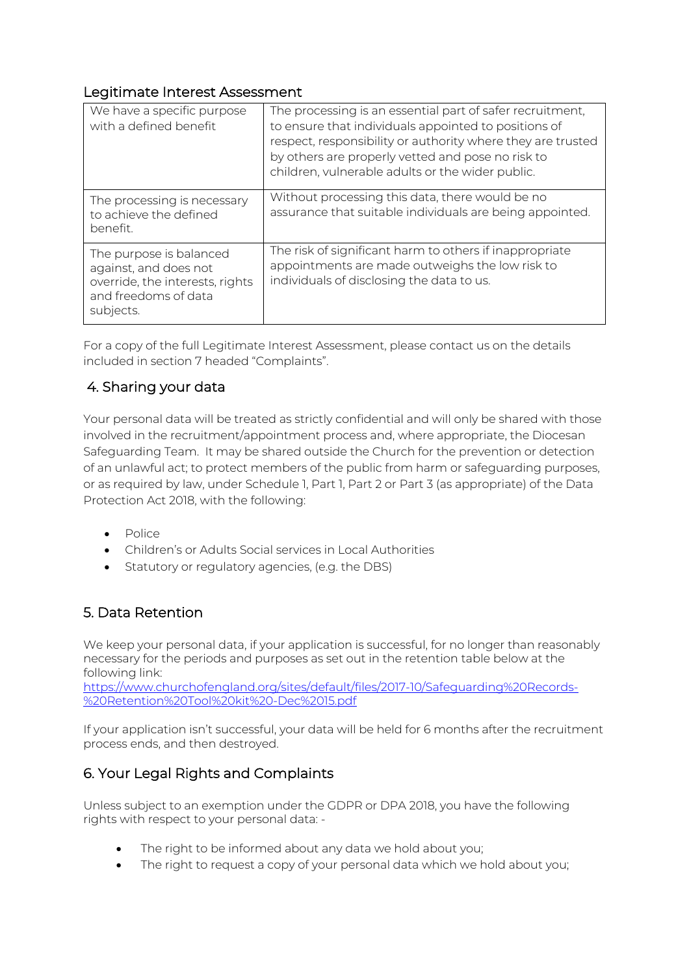#### Legitimate Interest Assessment

| We have a specific purpose<br>with a defined benefit                                                                     | The processing is an essential part of safer recruitment,<br>to ensure that individuals appointed to positions of<br>respect, responsibility or authority where they are trusted<br>by others are properly vetted and pose no risk to<br>children, vulnerable adults or the wider public. |
|--------------------------------------------------------------------------------------------------------------------------|-------------------------------------------------------------------------------------------------------------------------------------------------------------------------------------------------------------------------------------------------------------------------------------------|
| The processing is necessary<br>to achieve the defined<br>benefit.                                                        | Without processing this data, there would be no<br>assurance that suitable individuals are being appointed.                                                                                                                                                                               |
| The purpose is balanced<br>against, and does not<br>override, the interests, rights<br>and freedoms of data<br>subjects. | The risk of significant harm to others if inappropriate<br>appointments are made outweighs the low risk to<br>individuals of disclosing the data to us.                                                                                                                                   |

For a copy of the full Legitimate Interest Assessment, please contact us on the details included in section 7 headed "Complaints".

## 4. Sharing your data

Your personal data will be treated as strictly confidential and will only be shared with those involved in the recruitment/appointment process and, where appropriate, the Diocesan Safeguarding Team. It may be shared outside the Church for the prevention or detection of an unlawful act; to protect members of the public from harm or safeguarding purposes, or as required by law, under Schedule 1, Part 1, Part 2 or Part 3 (as appropriate) of the Data Protection Act 2018, with the following:

- Police
- Children's or Adults Social services in Local Authorities
- Statutory or regulatory agencies, (e.g. the DBS)

#### 5. Data Retention

We keep your personal data, if your application is successful, for no longer than reasonably necessary for the periods and purposes as set out in the retention table below at the following link:

https://www.churchofengland.org/sites/default/files/2017-10/Safeguarding%20Records- %20Retention%20Tool%20kit%20-Dec%2015.pdf

If your application isn't successful, your data will be held for 6 months after the recruitment process ends, and then destroyed.

# 6. Your Legal Rights and Complaints

Unless subject to an exemption under the GDPR or DPA 2018, you have the following rights with respect to your personal data: -

- The right to be informed about any data we hold about you;
- The right to request a copy of your personal data which we hold about you;